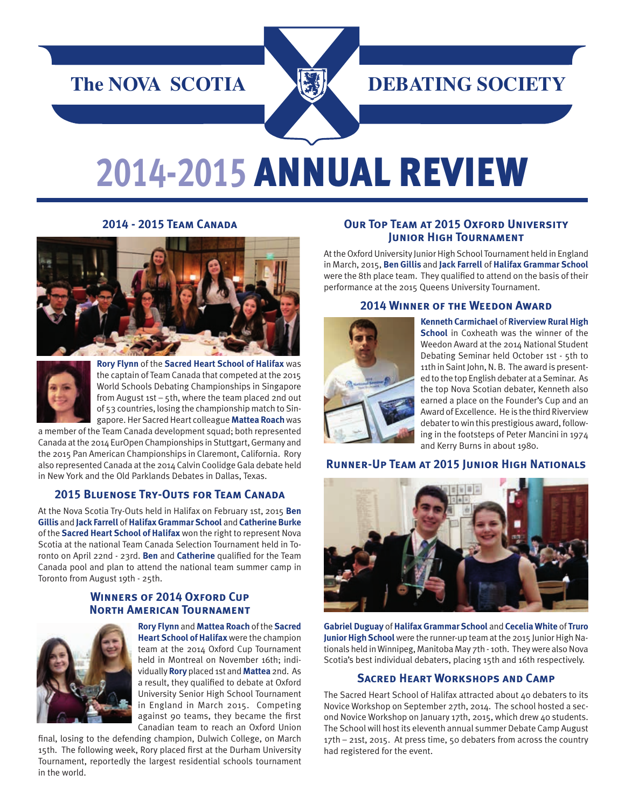# *The NOVA SCOTIA MARIAL DEBATING SOCIETY*

# **2014-2015** Annual Review

#### **2014 - 2015 Team Canada**





**Rory Flynn** of the **Sacred Heart School of Halifax** was the captain of Team Canada that competed at the 2015 World Schools Debating Championships in Singapore from August 1st – 5th, where the team placed 2nd out of 53 countries, losing the championship match to Singapore. Her Sacred Heart colleague **Mattea Roach** was

a member of the Team Canada development squad; both represented Canada at the 2014 EurOpen Championships in Stuttgart, Germany and the 2015 Pan American Championships in Claremont, California. Rory also represented Canada at the 2014 Calvin Coolidge Gala debate held in New York and the Old Parklands Debates in Dallas, Texas.

#### **2015 Bluenose Try-Outs for Team Canada**

At the Nova Scotia Try-Outs held in Halifax on February 1st, 2015 **Ben Gillis** and **Jack Farrell** of **Halifax Grammar School** and **Catherine Burke**  of the **Sacred Heart School of Halifax** won the right to represent Nova Scotia at the national Team Canada Selection Tournament held in Toronto on April 22nd - 23rd. **Ben** and **Catherine** qualified for the Team Canada pool and plan to attend the national team summer camp in Toronto from August 19th - 25th.

# **Winners of 2014 Oxford Cup North American Tournament**



**Rory Flynn** and **Mattea Roach** of the **Sacred Heart School of Halifax** were the champion team at the 2014 Oxford Cup Tournament held in Montreal on November 16th; individually **Rory** placed 1st and **Mattea** 2nd. As a result, they qualified to debate at Oxford University Senior High School Tournament in England in March 2015. Competing against 90 teams, they became the first Canadian team to reach an Oxford Union

final, losing to the defending champion, Dulwich College, on March 15th. The following week, Rory placed first at the Durham University Tournament, reportedly the largest residential schools tournament in the world.

#### **Our Top Team at 2015 Oxford University Junior High Tournament**

At the Oxford University Junior High School Tournament held in England in March, 2015, **Ben Gillis** and **Jack Farrell** of **Halifax Grammar School** were the 8th place team. They qualified to attend on the basis of their performance at the 2015 Queens University Tournament.

#### **2014 Winner of the Weedon Award**



**Kenneth Carmichael** of **Riverview Rural High School** in Coxheath was the winner of the Weedon Award at the 2014 National Student Debating Seminar held October 1st - 5th to 11th in Saint John, N. B. The award is presented to the top English debater at a Seminar. As the top Nova Scotian debater, Kenneth also earned a place on the Founder's Cup and an Award of Excellence. He is the third Riverview debater to win this prestigious award, following in the footsteps of Peter Mancini in 1974 and Kerry Burns in about 1980.

#### **Runner-Up Team at 2015 Junior High Nationals**



**Gabriel Duguay** of **Halifax Grammar School** and **Cecelia White** of **Truro Junior High School** were the runner-up team at the 2015 Junior High Nationals held in Winnipeg, Manitoba May 7th - 10th. They were also Nova Scotia's best individual debaters, placing 15th and 16th respectively.

#### **Sacred Heart Workshops and Camp**

The Sacred Heart School of Halifax attracted about 40 debaters to its Novice Workshop on September 27th, 2014. The school hosted a second Novice Workshop on January 17th, 2015, which drew 40 students. The School will host its eleventh annual summer Debate Camp August 17th – 21st, 2015. At press time, 50 debaters from across the country had registered for the event.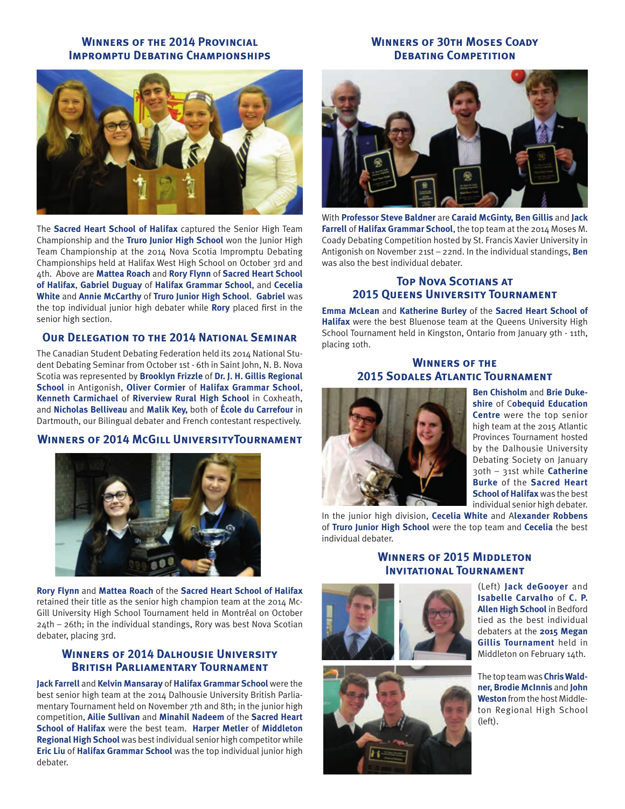# **Winners of the 2014 Provincial IMPROMPTU DEBATING CHAMPIONSHIPS**

# **Winners of 30th Moses Coady DEBATING COMPETITION**



The **Sacred Heart School of Halifax** captured the Senior High Team Championship and the **Truro Junior High School** won the Junior High Team Championship at the 2014 Nova Scotia Impromptu Debating Championships held at Halifax West High School on October 3rd and 4th. Above are **Mattea Roach** and **Rory Flynn** of **Sacred Heart School of Halifax**, **Gabriel Duguay** of **Halifax Grammar School**, and **Cecelia White** and **Annie McCarthy** of **Truro Junior High School**. **Gabriel** was the top individual junior high debater while **Rory** placed first in the senior high section.

#### **Our Delegation to the 2014 National Seminar**

The Canadian Student Debating Federation held its 2014 National Student Debating Seminar from October 1st - 6th in Saint John, N. B. Nova Scotia was represented by **Brooklyn Frizzle** of **Dr. J. H. Gillis Regional School** in Antigonish, **Oliver Cormier** of **Halifax Grammar School**, **Kenneth Carmichael** of **Riverview Rural High School** in Coxheath, and **Nicholas Belliveau** and **Malik Key,** both of **École du Carrefour** in Dartmouth, our Bilingual debater and French contestant respectively.

#### **Winners of 2014 McGill UniversityTournament**



**Rory Flynn** and **Mattea Roach** of the **Sacred Heart School of Halifax** retained their title as the senior high champion team at the 2014 Mc-Gill University High School Tournament held in Montréal on October 24th – 26th; in the individual standings, Rory was best Nova Scotian debater, placing 3rd.

## **Winners of 2014 Dalhousie University British Parliamentary Tournament**

**Jack Farrell** and **Kelvin Mansaray** of **Halifax Grammar School** were the best senior high team at the 2014 Dalhousie University British Parliamentary Tournament held on November 7th and 8th; in the junior high competition, **Ailie Sullivan** and **Minahil Nadeem** of the **Sacred Heart School of Halifax** were the best team. **Harper Metler** of **Middleton Regional High School** was best individual senior high competitor while **Eric Liu** of **Halifax Grammar School** was the top individual junior high debater.



With **Professor Steve Baldner** are **Caraid McGinty, Ben Gillis** and **Jack Farrell** of **Halifax Grammar School**, the top team at the 2014 Moses M. Coady Debating Competition hosted by St. Francis Xavier University in Antigonish on November 21st – 22nd. In the individual standings, **Ben**  was also the best individual debater.

## **Top Nova Scotians at 2015 Queens University Tournament**

**Emma McLean** and **Katherine Burley** of the **Sacred Heart School of Halifax** were the best Bluenose team at the Queens University High School Tournament held in Kingston, Ontario from January 9th - 11th, placing 10th.

## **Winners of the 2015 Sodales Atlantic Tournament**



**Ben Chisholm** and **Brie Dukeshire** of C**obequid Education Centre** were the top senior high team at the 2015 Atlantic Provinces Tournament hosted by the Dalhousie University Debating Society on January 30th – 31st while **Catherine Burke** of the **Sacred Heart School of Halifax** was the best individual senior high debater.

In the junior high division, **Cecelia White** and A**lexander Robbens** of **Truro Junior High School** were the top team and **Cecelia** the best individual debater.

# **Winners of 2015 Middleton Invitational Tournament**





(Left) **Jack deGooyer** and **Isabelle Carvalho** of **C. P. Allen High School** in Bedford tied as the best individual debaters at the **2015 Megan Gillis Tournament** held in Middleton on February 14th.

The top team was **Chris Waldner, Brodie McInnis** and **John Weston** from the host Middleton Regional High School (left).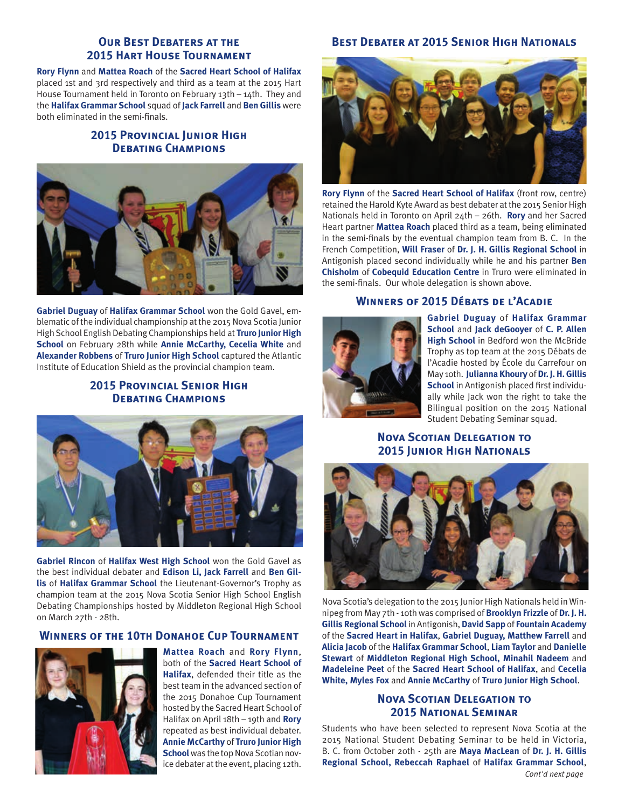# **OUR BEST DEBATERS AT THE 2015 Hart House Tournament**

**Rory Flynn** and **Mattea Roach** of the **Sacred Heart School of Halifax** placed 1st and 3rd respectively and third as a team at the 2015 Hart House Tournament held in Toronto on February 13th – 14th. They and the **Halifax Grammar School** squad of **Jack Farrell** and **Ben Gillis** were both eliminated in the semi-finals.

# **2015 Provincial Junior High DEBATING CHAMPIONS**



**Gabriel Duguay** of **Halifax Grammar School** won the Gold Gavel, emblematic of the individual championship at the 2015 Nova Scotia Junior High School English Debating Championships held at **Truro Junior High School** on February 28th while **Annie McCarthy, Cecelia White** and **Alexander Robbens** of **Truro Junior High School** captured the Atlantic Institute of Education Shield as the provincial champion team.

# **2015 Provincial Senior High Debating Champions**



**Gabriel Rincon** of **Halifax West High School** won the Gold Gavel as the best individual debater and **Edison Li, Jack Farrell** and **Ben Gillis** of **Halifax Grammar School** the Lieutenant-Governor's Trophy as champion team at the 2015 Nova Scotia Senior High School English Debating Championships hosted by Middleton Regional High School on March 27th - 28th.

# **Winners of the 10th Donahoe Cup Tournament**



**Mattea Roach** and **Rory Flynn**, both of the **Sacred Heart School of Halifax**, defended their title as the best team in the advanced section of the 2015 Donahoe Cup Tournament hosted by the Sacred Heart School of Halifax on April 18th – 19th and **Rory** repeated as best individual debater. **Annie McCarthy** of **Truro Junior High School** was the top Nova Scotian novice debater at the event, placing 12th.

# **Best Debater at 2015 Senior High Nationals**



**Rory Flynn** of the **Sacred Heart School of Halifax** (front row, centre) retained the Harold Kyte Award as best debater at the 2015 Senior High Nationals held in Toronto on April 24th – 26th. **Rory** and her Sacred Heart partner **Mattea Roach** placed third as a team, being eliminated in the semi-finals by the eventual champion team from B. C. In the French Competition, **Will Fraser** of **Dr. J. H. Gillis Regional School** in Antigonish placed second individually while he and his partner **Ben Chisholm** of **Cobequid Education Centre** in Truro were eliminated in the semi-finals. Our whole delegation is shown above.

## **Winners of 2015 Débats de l'Acadie**



**Gabriel Duguay** of **Halifax Grammar School** and **Jack deGooyer** of **C. P. Allen High School** in Bedford won the McBride Trophy as top team at the 2015 Débats de l'Acadie hosted by École du Carrefour on May 10th. **Julianna Khoury** of **Dr. J. H. Gillis School** in Antigonish placed first individually while Jack won the right to take the Bilingual position on the 2015 National Student Debating Seminar squad.

# **Nova Scotian Delegation to 2015 Junior High Nationals**



Nova Scotia's delegation to the 2015 Junior High Nationals held in Winnipeg from May 7th - 10th was comprised of **Brooklyn Frizzle** of **Dr. J. H. Gillis Regional School** in Antigonish, **David Sapp** of **Fountain Academy** of the **Sacred Heart in Halifax**, **Gabriel Duguay, Matthew Farrell** and **Alicia Jacob** of the **Halifax Grammar School**, **Liam Taylor** and **Danielle Stewart** of **Middleton Regional High School, Minahil Nadeem** and **Madeleine Peet** of the **Sacred Heart School of Halifax**, and **Cecelia White, Myles Fox** and **Annie McCarthy** of **Truro Junior High School**.

## **Nova Scotian Delegation to 2015 National Seminar**

Students who have been selected to represent Nova Scotia at the 2015 National Student Debating Seminar to be held in Victoria, B. C. from October 20th - 25th are **Maya MacLean** of **Dr. J. H. Gillis Regional School, Rebeccah Raphael** of **Halifax Grammar School**,